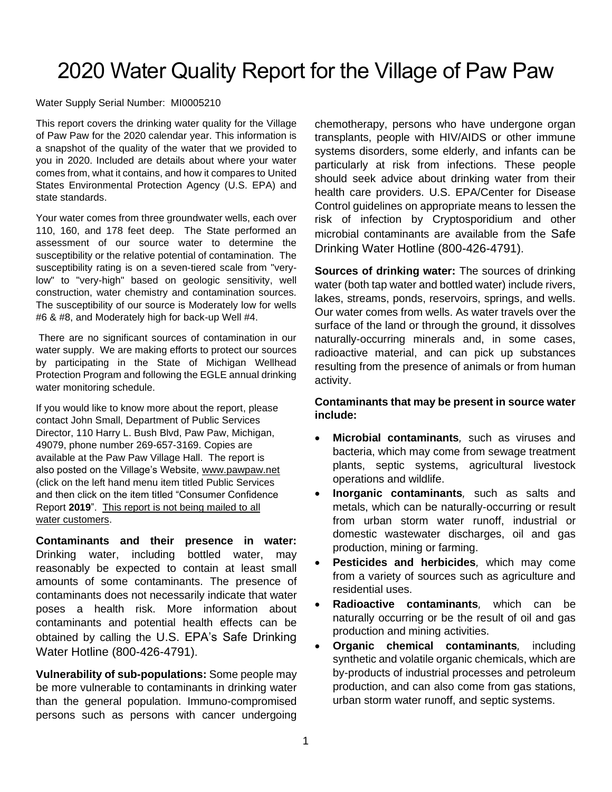# 2020 Water Quality Report for the Village of Paw Paw

#### Water Supply Serial Number: MI0005210

This report covers the drinking water quality for the Village of Paw Paw for the 2020 calendar year. This information is a snapshot of the quality of the water that we provided to you in 2020. Included are details about where your water comes from, what it contains, and how it compares to United States Environmental Protection Agency (U.S. EPA) and state standards.

Your water comes from three groundwater wells, each over 110, 160, and 178 feet deep. The State performed an assessment of our source water to determine the susceptibility or the relative potential of contamination. The susceptibility rating is on a seven-tiered scale from "verylow" to "very-high" based on geologic sensitivity, well construction, water chemistry and contamination sources. The susceptibility of our source is Moderately low for wells #6 & #8, and Moderately high for back-up Well #4.

There are no significant sources of contamination in our water supply. We are making efforts to protect our sources by participating in the State of Michigan Wellhead Protection Program and following the EGLE annual drinking water monitoring schedule.

If you would like to know more about the report, please contact John Small, Department of Public Services Director, 110 Harry L. Bush Blvd, Paw Paw, Michigan, 49079, phone number 269-657-3169. Copies are available at the Paw Paw Village Hall. The report is also posted on the Village's Website, [www.pawpaw.net](http://www.pawpaw.net/) (click on the left hand menu item titled Public Services and then click on the item titled "Consumer Confidence Report **2019**". This report is not being mailed to all water customers.

**Contaminants and their presence in water:**  Drinking water, including bottled water, may reasonably be expected to contain at least small amounts of some contaminants. The presence of contaminants does not necessarily indicate that water poses a health risk. More information about contaminants and potential health effects can be obtained by calling the U.S. EPA's Safe Drinking Water Hotline (800-426-4791).

**Vulnerability of sub-populations:** Some people may be more vulnerable to contaminants in drinking water than the general population. Immuno-compromised persons such as persons with cancer undergoing

chemotherapy, persons who have undergone organ transplants, people with HIV/AIDS or other immune systems disorders, some elderly, and infants can be particularly at risk from infections. These people should seek advice about drinking water from their health care providers. U.S. EPA/Center for Disease Control guidelines on appropriate means to lessen the risk of infection by Cryptosporidium and other microbial contaminants are available from the Safe Drinking Water Hotline (800-426-4791).

**Sources of drinking water:** The sources of drinking water (both tap water and bottled water) include rivers, lakes, streams, ponds, reservoirs, springs, and wells. Our water comes from wells. As water travels over the surface of the land or through the ground, it dissolves naturally-occurring minerals and, in some cases, radioactive material, and can pick up substances resulting from the presence of animals or from human activity.

**Contaminants that may be present in source water include:**

- **Microbial contaminants***,* such as viruses and bacteria, which may come from sewage treatment plants, septic systems, agricultural livestock operations and wildlife.
- **Inorganic contaminants***,* such as salts and metals, which can be naturally-occurring or result from urban storm water runoff, industrial or domestic wastewater discharges, oil and gas production, mining or farming.
- **Pesticides and herbicides***,* which may come from a variety of sources such as agriculture and residential uses.
- **Radioactive contaminants***,* which can be naturally occurring or be the result of oil and gas production and mining activities.
- **Organic chemical contaminants***,* including synthetic and volatile organic chemicals, which are by-products of industrial processes and petroleum production, and can also come from gas stations, urban storm water runoff, and septic systems.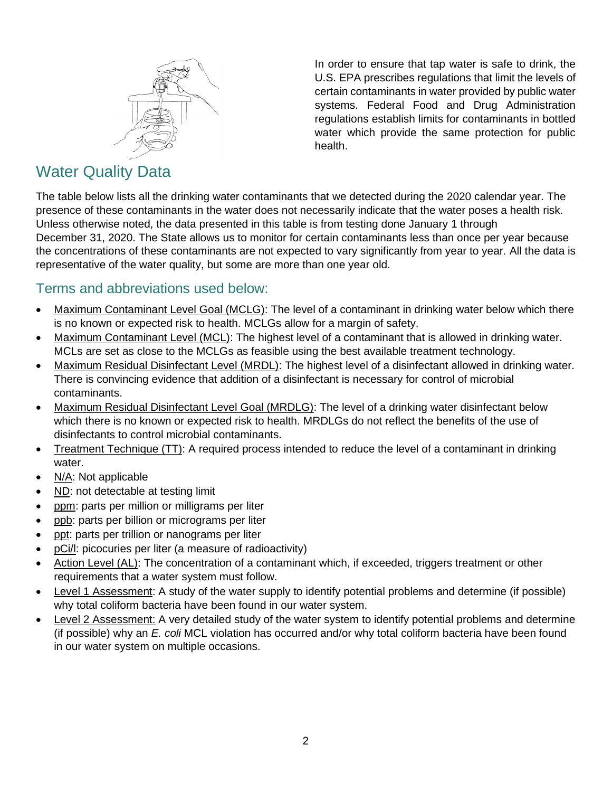

In order to ensure that tap water is safe to drink, the U.S. EPA prescribes regulations that limit the levels of certain contaminants in water provided by public water systems. Federal Food and Drug Administration regulations establish limits for contaminants in bottled water which provide the same protection for public health.

## Water Quality Data

The table below lists all the drinking water contaminants that we detected during the 2020 calendar year. The presence of these contaminants in the water does not necessarily indicate that the water poses a health risk. Unless otherwise noted, the data presented in this table is from testing done January 1 through December 31, 2020. The State allows us to monitor for certain contaminants less than once per year because the concentrations of these contaminants are not expected to vary significantly from year to year. All the data is representative of the water quality, but some are more than one year old.

### Terms and abbreviations used below:

- Maximum Contaminant Level Goal (MCLG): The level of a contaminant in drinking water below which there is no known or expected risk to health. MCLGs allow for a margin of safety.
- Maximum Contaminant Level (MCL): The highest level of a contaminant that is allowed in drinking water. MCLs are set as close to the MCLGs as feasible using the best available treatment technology.
- Maximum Residual Disinfectant Level (MRDL): The highest level of a disinfectant allowed in drinking water. There is convincing evidence that addition of a disinfectant is necessary for control of microbial contaminants.
- Maximum Residual Disinfectant Level Goal (MRDLG): The level of a drinking water disinfectant below which there is no known or expected risk to health. MRDLGs do not reflect the benefits of the use of disinfectants to control microbial contaminants.
- Treatment Technique (TT): A required process intended to reduce the level of a contaminant in drinking water.
- N/A: Not applicable
- ND: not detectable at testing limit
- ppm: parts per million or milligrams per liter
- ppb: parts per billion or micrograms per liter
- ppt: parts per trillion or nanograms per liter
- pCi/l: picocuries per liter (a measure of radioactivity)
- Action Level (AL): The concentration of a contaminant which, if exceeded, triggers treatment or other requirements that a water system must follow.
- Level 1 Assessment: A study of the water supply to identify potential problems and determine (if possible) why total coliform bacteria have been found in our water system.
- Level 2 Assessment: A very detailed study of the water system to identify potential problems and determine (if possible) why an *E. coli* MCL violation has occurred and/or why total coliform bacteria have been found in our water system on multiple occasions.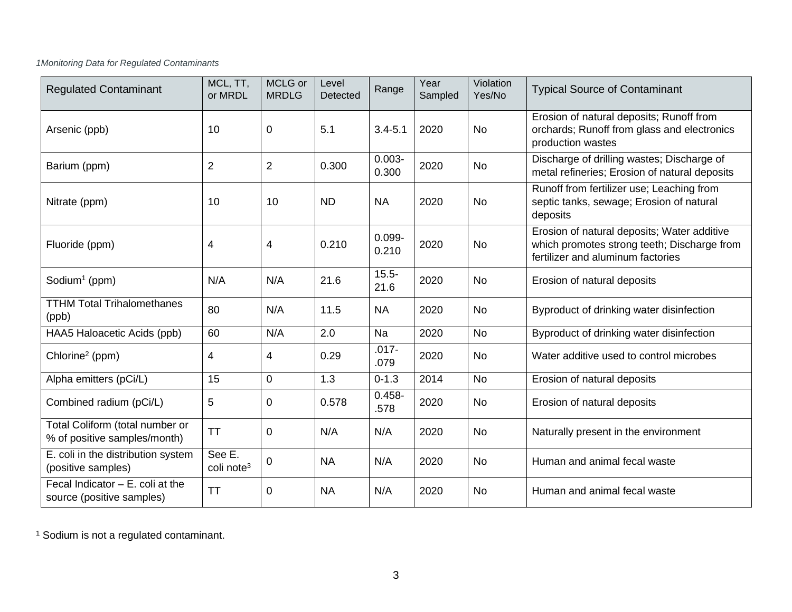### *1Monitoring Data for Regulated Contaminants*

| <b>Regulated Contaminant</b>                                     | MCL, TT,<br>or MRDL              | MCLG or<br><b>MRDLG</b> | Level<br>Detected | Range              | Year<br>Sampled | Violation<br>Yes/No | <b>Typical Source of Contaminant</b>                                                                                            |
|------------------------------------------------------------------|----------------------------------|-------------------------|-------------------|--------------------|-----------------|---------------------|---------------------------------------------------------------------------------------------------------------------------------|
| Arsenic (ppb)                                                    | 10                               | $\mathbf 0$             | 5.1               | $3.4 - 5.1$        | 2020            | No                  | Erosion of natural deposits; Runoff from<br>orchards; Runoff from glass and electronics<br>production wastes                    |
| Barium (ppm)                                                     | $\overline{2}$                   | $\overline{2}$          | 0.300             | $0.003 -$<br>0.300 | 2020            | No                  | Discharge of drilling wastes; Discharge of<br>metal refineries; Erosion of natural deposits                                     |
| Nitrate (ppm)                                                    | 10                               | 10                      | <b>ND</b>         | <b>NA</b>          | 2020            | No                  | Runoff from fertilizer use; Leaching from<br>septic tanks, sewage; Erosion of natural<br>deposits                               |
| Fluoride (ppm)                                                   | 4                                | $\overline{4}$          | 0.210             | $0.099 -$<br>0.210 | 2020            | <b>No</b>           | Erosion of natural deposits; Water additive<br>which promotes strong teeth; Discharge from<br>fertilizer and aluminum factories |
| Sodium <sup>1</sup> (ppm)                                        | N/A                              | N/A                     | 21.6              | $15.5 -$<br>21.6   | 2020            | No                  | Erosion of natural deposits                                                                                                     |
| <b>TTHM Total Trihalomethanes</b><br>(ppb)                       | 80                               | N/A                     | 11.5              | <b>NA</b>          | 2020            | No                  | Byproduct of drinking water disinfection                                                                                        |
| HAA5 Haloacetic Acids (ppb)                                      | 60                               | N/A                     | 2.0               | Na                 | 2020            | No                  | Byproduct of drinking water disinfection                                                                                        |
| Chlorine <sup>2</sup> (ppm)                                      | 4                                | 4                       | 0.29              | $.017 -$<br>.079   | 2020            | <b>No</b>           | Water additive used to control microbes                                                                                         |
| Alpha emitters (pCi/L)                                           | 15                               | $\mathbf 0$             | 1.3               | $0 - 1.3$          | 2014            | No                  | Erosion of natural deposits                                                                                                     |
| Combined radium (pCi/L)                                          | 5                                | $\mathbf 0$             | 0.578             | $0.458 -$<br>.578  | 2020            | <b>No</b>           | Erosion of natural deposits                                                                                                     |
| Total Coliform (total number or<br>% of positive samples/month)  | <b>TT</b>                        | $\mathbf 0$             | N/A               | N/A                | 2020            | No                  | Naturally present in the environment                                                                                            |
| E. coli in the distribution system<br>(positive samples)         | See E.<br>coli note <sup>3</sup> | $\mathbf 0$             | <b>NA</b>         | N/A                | 2020            | <b>No</b>           | Human and animal fecal waste                                                                                                    |
| Fecal Indicator $- E$ . coli at the<br>source (positive samples) | <b>TT</b>                        | $\mathbf 0$             | <b>NA</b>         | N/A                | 2020            | <b>No</b>           | Human and animal fecal waste                                                                                                    |

<sup>1</sup> Sodium is not a regulated contaminant.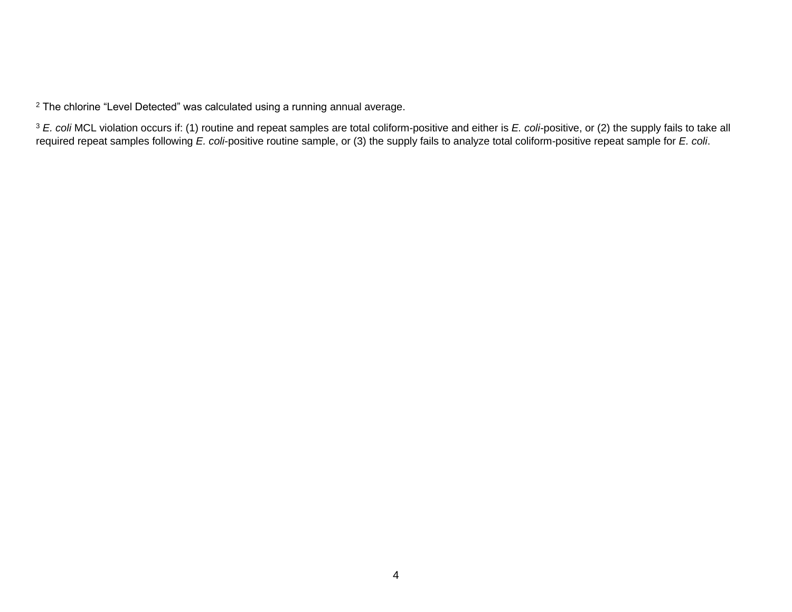<sup>2</sup> The chlorine "Level Detected" was calculated using a running annual average.

<sup>3</sup> *E. coli* MCL violation occurs if: (1) routine and repeat samples are total coliform-positive and either is *E. coli*-positive, or (2) the supply fails to take all required repeat samples following *E. coli*-positive routine sample, or (3) the supply fails to analyze total coliform-positive repeat sample for *E. coli*.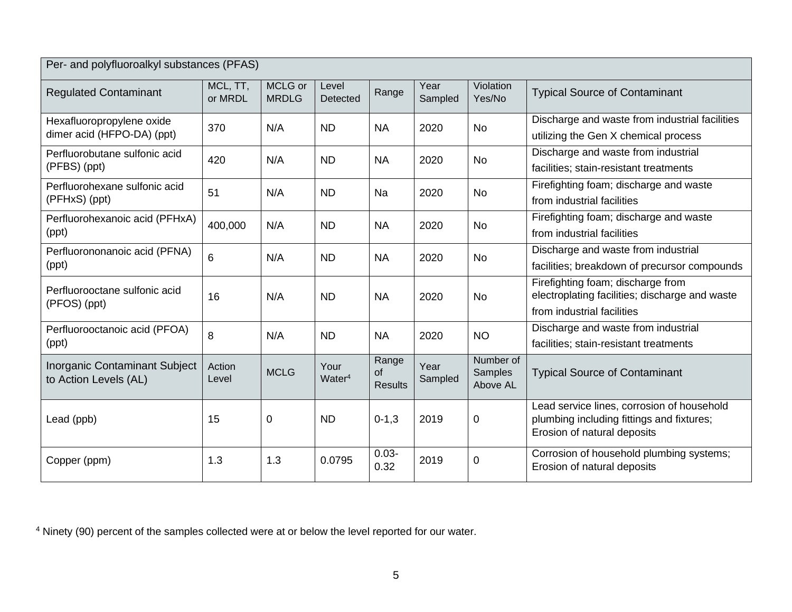| Per- and polyfluoroalkyl substances (PFAS)                    |                     |                         |                            |                                      |                 |                                  |                                                                                                                        |  |  |  |
|---------------------------------------------------------------|---------------------|-------------------------|----------------------------|--------------------------------------|-----------------|----------------------------------|------------------------------------------------------------------------------------------------------------------------|--|--|--|
| <b>Regulated Contaminant</b>                                  | MCL, TT,<br>or MRDL | MCLG or<br><b>MRDLG</b> | Level<br>Detected          | Range                                | Year<br>Sampled | Violation<br>Yes/No              | <b>Typical Source of Contaminant</b>                                                                                   |  |  |  |
| Hexafluoropropylene oxide<br>dimer acid (HFPO-DA) (ppt)       | 370                 | N/A                     | <b>ND</b>                  | <b>NA</b>                            | 2020            | <b>No</b>                        | Discharge and waste from industrial facilities<br>utilizing the Gen X chemical process                                 |  |  |  |
| Perfluorobutane sulfonic acid<br>(PFBS) (ppt)                 | 420                 | N/A                     | <b>ND</b>                  | <b>NA</b>                            | 2020            | <b>No</b>                        | Discharge and waste from industrial<br>facilities; stain-resistant treatments                                          |  |  |  |
| Perfluorohexane sulfonic acid<br>(PFHxS) (ppt)                | 51                  | N/A                     | <b>ND</b>                  | Na                                   | 2020            | No                               | Firefighting foam; discharge and waste<br>from industrial facilities                                                   |  |  |  |
| Perfluorohexanoic acid (PFHxA)<br>(ppt)                       | 400,000             | N/A                     | <b>ND</b>                  | <b>NA</b>                            | 2020            | <b>No</b>                        | Firefighting foam; discharge and waste<br>from industrial facilities                                                   |  |  |  |
| Perfluorononanoic acid (PFNA)<br>(ppt)                        | 6                   | N/A                     | <b>ND</b>                  | <b>NA</b>                            | 2020            | <b>No</b>                        | Discharge and waste from industrial<br>facilities; breakdown of precursor compounds                                    |  |  |  |
| Perfluorooctane sulfonic acid<br>(PFOS) (ppt)                 | 16                  | N/A                     | <b>ND</b>                  | <b>NA</b>                            | 2020            | No                               | Firefighting foam; discharge from<br>electroplating facilities; discharge and waste<br>from industrial facilities      |  |  |  |
| Perfluorooctanoic acid (PFOA)<br>(ppt)                        | 8                   | N/A                     | <b>ND</b>                  | <b>NA</b>                            | 2020            | <b>NO</b>                        | Discharge and waste from industrial<br>facilities; stain-resistant treatments                                          |  |  |  |
| <b>Inorganic Contaminant Subject</b><br>to Action Levels (AL) | Action<br>Level     | <b>MCLG</b>             | Your<br>Water <sup>4</sup> | Range<br><b>of</b><br><b>Results</b> | Year<br>Sampled | Number of<br>Samples<br>Above AL | <b>Typical Source of Contaminant</b>                                                                                   |  |  |  |
| Lead (ppb)                                                    | 15                  | 0                       | <b>ND</b>                  | $0-1,3$                              | 2019            | 0                                | Lead service lines, corrosion of household<br>plumbing including fittings and fixtures;<br>Erosion of natural deposits |  |  |  |
| Copper (ppm)                                                  | 1.3                 | 1.3                     | 0.0795                     | $0.03 -$<br>0.32                     | 2019            | 0                                | Corrosion of household plumbing systems;<br>Erosion of natural deposits                                                |  |  |  |

<sup>4</sup> Ninety (90) percent of the samples collected were at or below the level reported for our water.